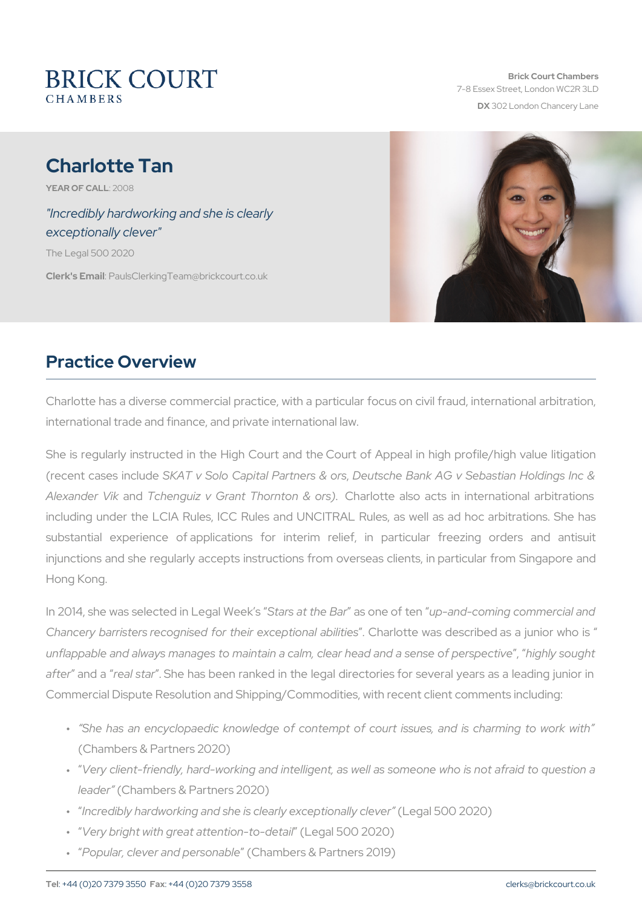# Charlotte Tan

YEAR OF CALLO 8

"Incredibly hardworking and she is clearly exceptionally clever"

The Legal 500 2020

Clerk's EP aulsClerking Team @brickcourt.co.uk

### Practice Overview

Charlotte has a diverse commercial practice, with a particular focus on international trade and finance, and private international law.

She is regularly instructed in the High Court and the Court of Appe (recent cases Sikat Tude Solo Capital Partners & Bank AG v Sebastian H Alexander a Wulchenguiz v Grant ThornCthon ricatus acts in internation including under the LCIA Rules, ICC Rules and UNCITRAL Rules, as substantial experience of applications for interim relief, in pa injunctions and she regularly accepts instructions from overseas clie Hong Kong.

In 2014, she was selected SitranLse gant It Mees s Ble rse out pt-cam d-coming commercial Chancery barristers recognised for the iCheax coetate io was alle is diriides das a unflappable and always manages to maintain a calm, cleargheyad caung ht after and real stasthe has been ranked in the legal directories for seve Commercial Dispute Resolution and Shipping/Commodities, with recent

- " She has an encyclopaedic knowledge of contempt of court issu (Chambers & Partners 2020)
- " Very client-friendly, hard-working and intelligent, as well as som leade(rChambers & Partners 2020)
- " Incredibly hardworking and she is clearlley get compatible 201) clever
- " Very bright with great attenties on-the to-OdCet2a0 20)
- " Popular, clever and p@hsaombadorlse & Partners 2019)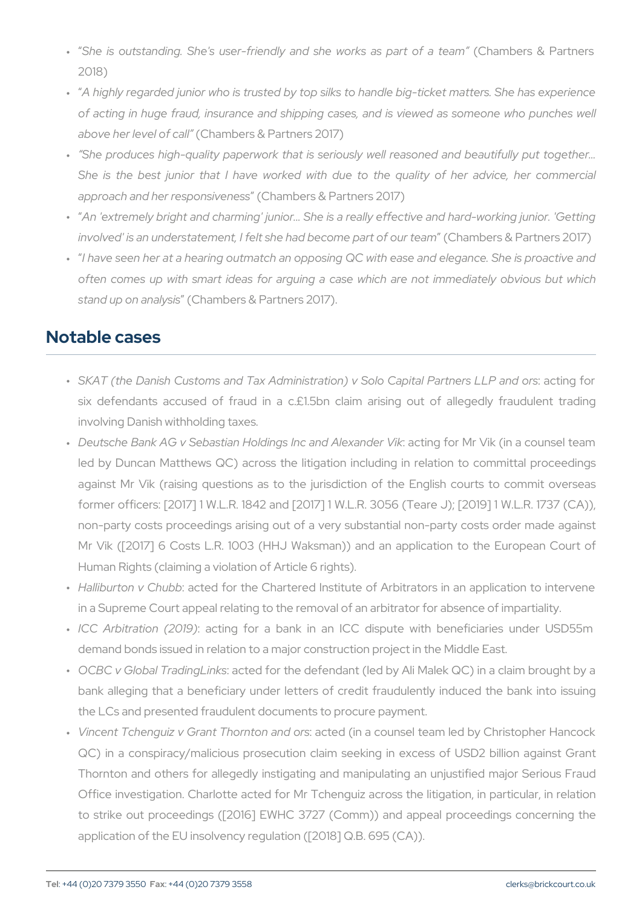- " She is outstanding. She's user-friendly and  $\$$ Ghamolek ssås Ppaarntm 2018)
- " A highly regarded junior who is trusted by top silks to handle big of acting in huge fraud, insurance and shipping cases, and is v above her leve(Cchfameblers & Partners 2017)
- " She produces high-quality paperwork that is seriously well reas She is the best junior that I have worked with due to the q approach and her resp( $\alpha$ hambers  $\alpha$  Partners 2017)
- " An 'extremely bright and charming' junior... She is a really effec involved' is an understatement, I felt she ha dC beam obmenes p& ar Pacart no eur is
- " I have seen her at a hearing outmatch an opposing QC with ease often comes up with smart ideas for arguing a case which are stand up on and hyasmishers & Partners 2017).

### Notable cases

- " SKAT (the Danish Customs and Tax Administration) v:Saodbin@apoita six defendants accused of fraud in a c. $£1.5$ bn claim arising involving Danish withholding taxes.
- " Deutsche Bank AG v Sebastian HoldingsaotnionganfolrAMerxaninde(nin Vaik counter 1997) led by Duncan Matthews QC) across the litigation including in against Mr Vik (raising questions as to the jurisdiction of the former officers: [2017] 1 W.L.R. 1842 and [2017] 1 W.L.R. 3056 non-party costs proceedings arising out of a very substantial no Mr Vik ([2017] 6 Costs L.R. 1003 (HHJ Waksman)) and an appl Human Rights (claiming a violation of Article 6 rights).
- " Halliburton **v @ thuebol for the Chartered Institute of Arbitrators in and application to intervene in an application to intervene in an application to intervene in an application of**  $\overline{a}$ in a Supreme Court appeal relating to the removal of an arbitrator
- "ICC Arbitration a( $2$ 10n1g9) for a bank in an ICC dispute with ber demand bonds issued in relation to a major construction project in
- " OCBC v Global Tradaiontgeldinflos the defendant (led by Ali Malek QC) in bank alleging that a beneficiary under letters of credit fraudule the LCs and presented fraudulent documents to procure payment.
- " Vincent Tchenguiz v Grant :Thaostetolon in a ned coorusn sel team led by Chri QC) in a conspiracy/malicious prosecution claim seeking in exc Thornton and others for allegedly instigating and manipulating a Office investigation. Charlotte acted for Mr Tchenguiz across the to strike out proceedings ( $[2016]$  EWHC 3727 (Comm)) and appe application of the EU insolvency regulation ([2018] Q.B. 695 (CA)).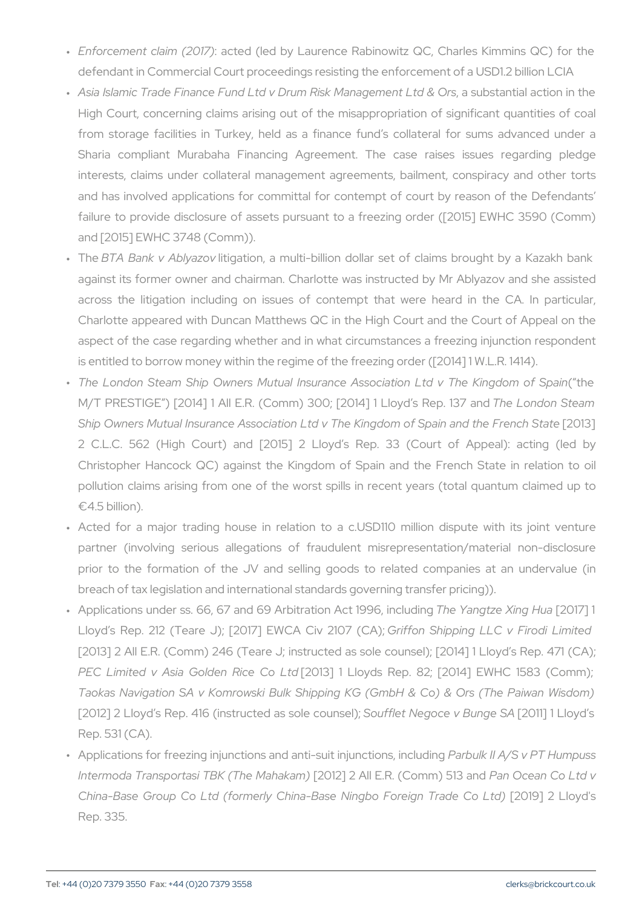- " Enforcement claimaq(t2e0d17)ed by Laurence Rabinowitz QC, Charle defendant in Commercial Court proceedings resisting the enforcem
- " Asia Islamic Trade Finance Fund Ltd v Drum, RaisskubMsal**antja**nheancttibin High Court, concerning claims arising out of the misappropriation from storage facilities in Turkey, held as a finance fund s co Sharia compliant Murabaha Financing Agreement. The case interests, claims under collateral management agreements, bail and has involved applications for committal for contempt of cou failure to provide disclosure of assets pursuant to a freezing o and [2015] EWHC 3748 (Comm)).
- " TheBTA Bank v Albitygaaztoion, a multi-billion dollar set of claims b against its former owner and chairman. Charlotte was instructed across the litigation including on issues of contempt that we Charlotte appeared with Duncan Matthews QC in the High Court aspect of the case regarding whether and in what circumstances is entitled to borrow money within the regime of the freezing order
- " The London Steam Ship Owners Mutual Insurance Asso (iahion L  $M/T$  PRESTIGE )  $[2014]$  1 All E.R. (Comm) 300; The 20 Lound on LIS yed a Ship Owners Mutual Insurance Association Ltd v The King adom 3 of 2 C.L.C. 562 (High Court) and [2015] 2 Lloyd s Rep. 33 Christopher Hancock QC) against the Kingdom of Spain and the pollution claims arising from one of the worst spills in recent  $\neg 4.5 billion$ ).
- " Acted for a major trading house in relation to a c.USD110 m partner (involving serious allegations of fraudulent misrepre prior to the formation of the JV and selling goods to related breach of tax legislation and international standards governing tra
- " Applications under ss. 66, 67 and 69 ArbiTthætiYoanAgtzte1 % [921663g1 7H]ucaluo Lloyd s Rep. 212 (Teare J);  $[20176$  r Ef WoOh S  $6$  ipp  $2$  mig  $7$  L  $1$   $\mathbb{C}$  A  $\mathbb{V}$ ; Firo [2013] 2 All E.R. (Comm) 246 (Teare J; instructed as sole couns PEC Limited v Asia Gold [2001 Rice Cold could Rep. 82; [2014] EWI Taokas Navigation SA v Komrowski Bulk Shipping KG (GmbH & [2012] 2 Lloyd s Rep. 416 (instruscoted flasts Negoce un  $B$ 2011; de SALloyd Rep. 531 (CA).
- " Applications for freezing injunctions and anRiansbuuilkinhjuAn/cStionB,Tihrlo Intermoda Transportasi TBK [2TO Me] M 2 h A alk a Em R. (CP a mm ) 64 and Q d Ltd China-Base Group Co Ltd (formerly China-Base Ni20b0] F2orbigno Rep. 335.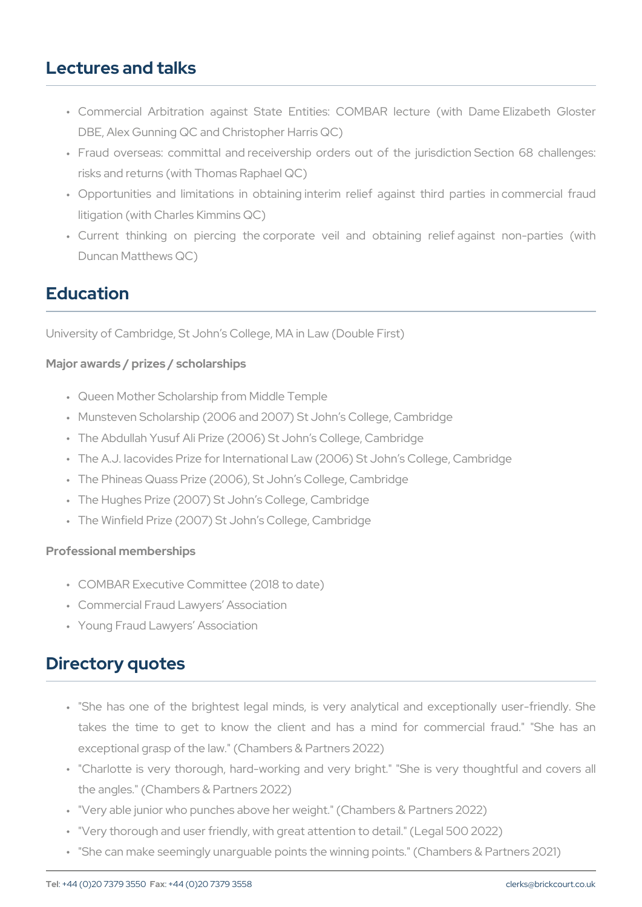### Lectures and talks

- " Commercial Arbitration against State Entities: COMBAR lectur DBE, Alex Gunning QC and Christopher Harris QC)
- " Fraud overseas: committal and receivership orders out of the j risks and returns (with Thomas Raphael QC)
- " Opportunities and limitations in obtaining interim relief against litigation (with Charles Kimmins QC)
- " Current thinking on piercing the corporate veil and obtainin Duncan Matthews QC)

## Education

University of Cambridge, St John s College, MA in Law (Double First)

Major awards / prizes / scholarships

- " Queen Mother Scholarship from Middle Temple
- " Munsteven Scholarship (2006 and 2007) St John s College, Cambri
- " The Abdullah Yusuf Ali Prize (2006) St John s College, Cambridge
- " The A.J. Iacovides Prize for International Law (2006) St John s Co
- " The Phineas Quass Prize (2006), St John s College, Cambridge
- " The Hughes Prize (2007) St John s College, Cambridge
- " The Winfield Prize (2007) St John s College, Cambridge

Professional memberships

- " COMBAR Executive Committee (2018 to date)
- " Commercial Fraud Lawyers Association
- " Young Fraud Lawyers Association

#### Directory quotes

- " "She has one of the brightest legal minds, is very analytical takes the time to get to know the client and has a mind for exceptional grasp of the law." (Chambers & Partners 2022)
- " "Charlotte is very thorough, hard-working and very bright." "She the angles." (Chambers & Partners 2022)
- " "Very able junior who punches above her weight." (Chambers & Pa
- " "Very thorough and user friendly, with great attention to detail." (
- " "She can make seemingly unarguable points the winning points." (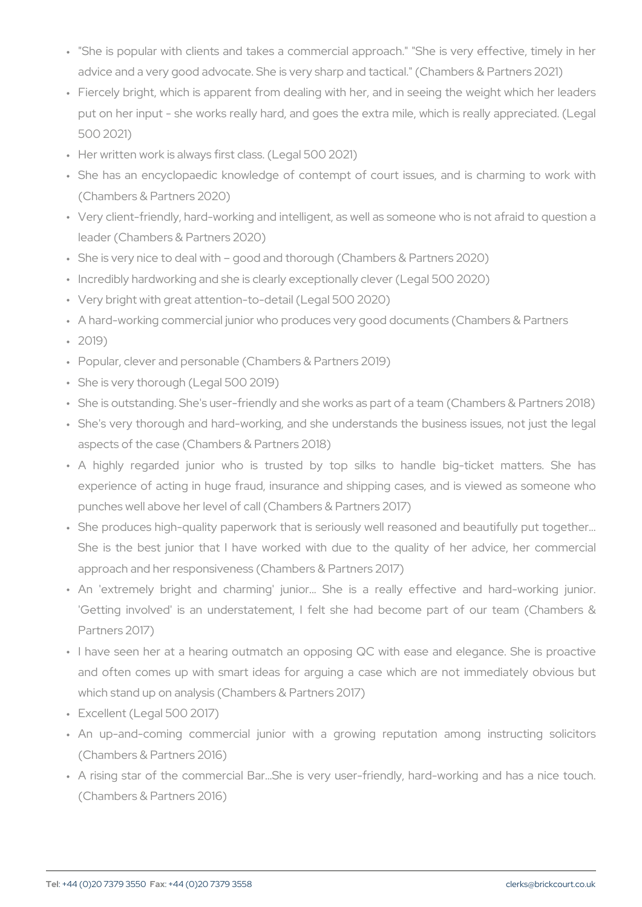- " "She is popular with clients and takes a commercial approach." advice and a very good advocate. She is very sharp and tactical."
- " Fiercely bright, which is apparent from dealing with her, and in s put on her input - she works really hard, and goes the extra mile 500 2021)
- " Her written work is always first class. (Legal 500 2021)
- " She has an encyclopaedic knowledge of contempt of court issue (Chambers & Partners 2020)
- " Very client-friendly, hard-working and intelligent, as well as some leader (Chambers & Partners 2020)
- " She is very nice to deal with good and thorough (Chambers & Part " Incredibly hardworking and she is clearly exceptionally clever (Legal 500 2020)
- " Very bright with great attention-to-detail (Legal 500 2020)
- " A hard-working commercial junior who produces very good documents " 2019)
- " Popular, clever and personable (Chambers & Partners 2019)
- " She is very thorough (Legal 500 2019)
- " She is outstanding. She's user-friendly and she works as part of a
- " She's very thorough and hard-working, and she understands the aspects of the case (Chambers & Partners 2018)
- " A highly regarded junior who is trusted by top silks to h experience of acting in huge fraud, insurance and shipping case punches well above her level of call (Chambers & Partners 2017)
- " She produces high-quality paperwork that is seriously well reaso She is the best junior that I have worked with due to the quality approach and her responsiveness (Chambers & Partners 2017)
- " An 'extremely bright and charming' junior... She is a really 'Getting involved' is an understatement, I felt she had becom Partners 2017)
- " I have seen her at a hearing outmatch an opposing QC with eas and often comes up with smart ideas for arguing a case which which stand up on analysis (Chambers & Partners 2017)
- " Excellent (Legal 500 2017)
- " An up-and-coming commercial junior with a growing reputati (Chambers & Partners 2016)
- " A rising star of the commercial Bar&She is very user-friendly, I (Chambers & Partners 2016)